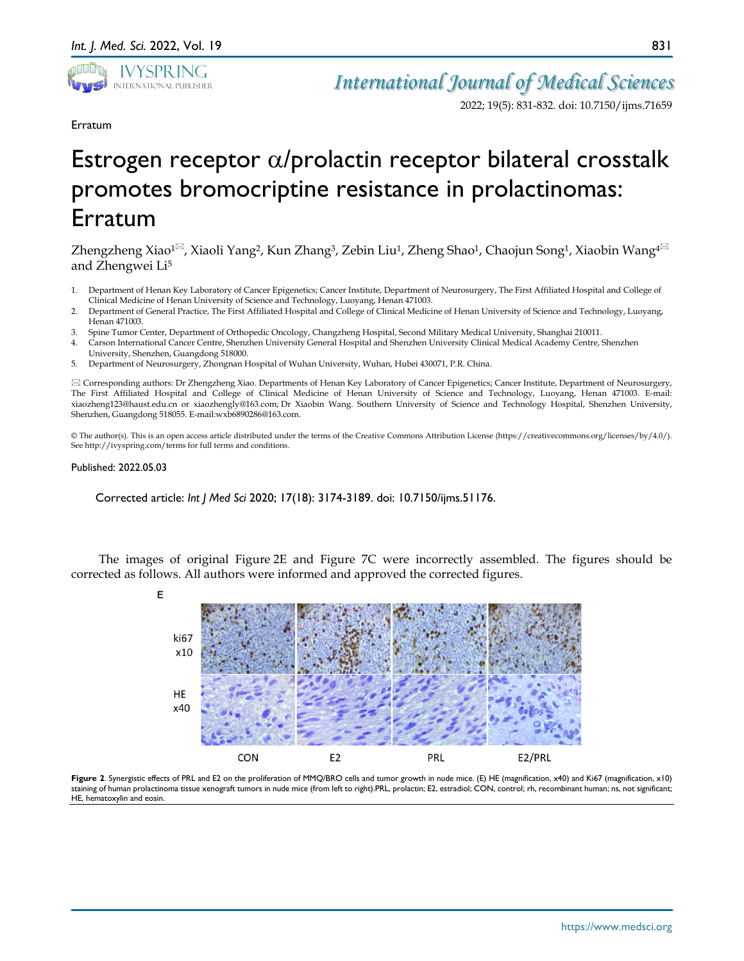

2022; 19(5): 831-832. doi: 10.7150/ijms.71659

Erratum

## Estrogen receptor α/prolactin receptor bilateral crosstalk promotes bromocriptine resistance in prolactinomas: Erratum

Zhengzheng Xiao<sup>1 $\boxtimes$ </sup>, Xiaoli Yang<sup>2</sup>, Kun Zhang<sup>3</sup>, Zebin Liu<sup>1</sup>, Zheng Shao<sup>1</sup>, Chaojun Song<sup>1</sup>, Xiaobin Wang<sup>4 $\boxtimes$ </sup> and Zhengwei Li5

- 1. Department of Henan Key Laboratory of Cancer Epigenetics; Cancer Institute, Department of Neurosurgery, The First Affiliated Hospital and College of Clinical Medicine of Henan University of Science and Technology, Luoyang, Henan 471003.
- 2. Department of General Practice, The First Affiliated Hospital and College of Clinical Medicine of Henan University of Science and Technology, Luoyang, Henan 471003.
- 3. Spine Tumor Center, Department of Orthopedic Oncology, Changzheng Hospital, Second Military Medical University, Shanghai 210011.
- 4. Carson International Cancer Centre, Shenzhen University General Hospital and Shenzhen University Clinical Medical Academy Centre, Shenzhen University, Shenzhen, Guangdong 518000.
- 5. Department of Neurosurgery, Zhongnan Hospital of Wuhan University, Wuhan, Hubei 430071, P.R. China.

 Corresponding authors: Dr Zhengzheng Xiao. Departments of Henan Key Laboratory of Cancer Epigenetics; Cancer Institute, Department of Neurosurgery, The First Affiliated Hospital and College of Clinical Medicine of Henan University of Science and Technology, Luoyang, Henan 471003. E-mail: xiaozheng123@haust.edu.cn or xiaozhengly@163.com; Dr Xiaobin Wang. Southern University of Science and Technology Hospital, Shenzhen University, Shenzhen, Guangdong 518055. E-mail:wxb6890286@163.com.

© The author(s). This is an open access article distributed under the terms of the Creative Commons Attribution License (https://creativecommons.org/licenses/by/4.0/). See http://ivyspring.com/terms for full terms and conditions.

## Published: 2022.05.03

Corrected article: *Int J Med Sci* 2020; 17(18): 3174-3189. doi: 10.7150/ijms.51176.

The images of original Figure 2E and Figure 7C were incorrectly assembled. The figures should be corrected as follows. All authors were informed and approved the corrected figures.



**Figure 2**. Synergistic effects of PRL and E2 on the proliferation of MMQ/BRO cells and tumor growth in nude mice. (E) HE (magnification, x40) and Ki67 (magnification, x10) staining of human prolactinoma tissue xenograft tumors in nude mice (from left to right).PRL, prolactin; E2, estradiol; CON, control; rh, recombinant human; ns, not significant; HE, hematoxylin and eosin.